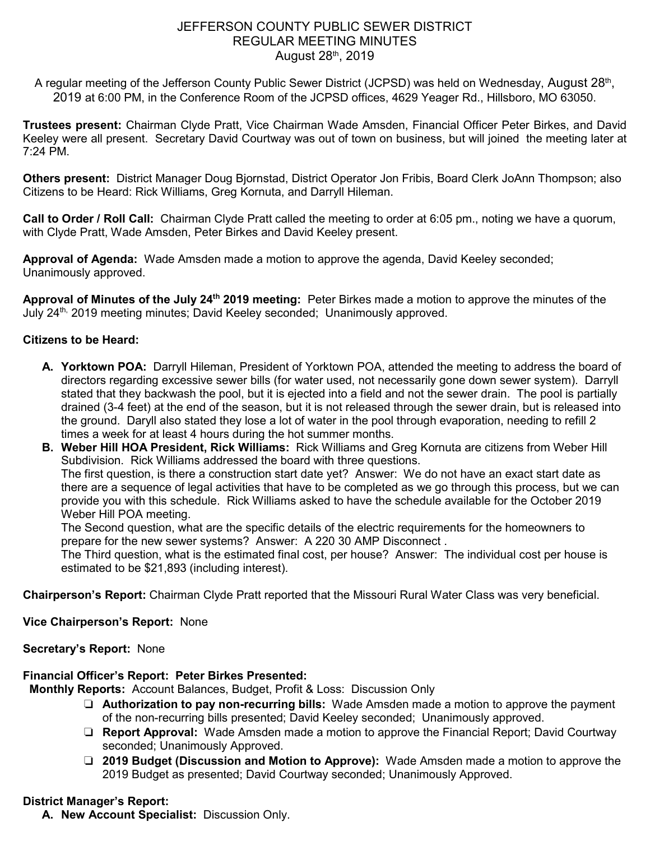# JEFFERSON COUNTY PUBLIC SEWER DISTRICT REGULAR MEETING MINUTES August 28th, 2019

A regular meeting of the Jefferson County Public Sewer District (JCPSD) was held on Wednesday, August 28<sup>th</sup>, 2019 at 6:00 PM, in the Conference Room of the JCPSD offices, 4629 Yeager Rd., Hillsboro, MO 63050.

**Trustees present:** Chairman Clyde Pratt, Vice Chairman Wade Amsden, Financial Officer Peter Birkes, and David Keeley were all present. Secretary David Courtway was out of town on business, but will joined the meeting later at 7:24 PM.

**Others present:** District Manager Doug Bjornstad, District Operator Jon Fribis, Board Clerk JoAnn Thompson; also Citizens to be Heard: Rick Williams, Greg Kornuta, and Darryll Hileman.

**Call to Order / Roll Call:** Chairman Clyde Pratt called the meeting to order at 6:05 pm., noting we have a quorum, with Clyde Pratt, Wade Amsden, Peter Birkes and David Keeley present.

**Approval of Agenda:** Wade Amsden made a motion to approve the agenda, David Keeley seconded; Unanimously approved.

**Approval of Minutes of the July 24th 2019 meeting:** Peter Birkes made a motion to approve the minutes of the July 24th, 2019 meeting minutes; David Keeley seconded; Unanimously approved.

## **Citizens to be Heard:**

- **A. Yorktown POA:** Darryll Hileman, President of Yorktown POA, attended the meeting to address the board of directors regarding excessive sewer bills (for water used, not necessarily gone down sewer system). Darryll stated that they backwash the pool, but it is ejected into a field and not the sewer drain. The pool is partially drained (3-4 feet) at the end of the season, but it is not released through the sewer drain, but is released into the ground. Daryll also stated they lose a lot of water in the pool through evaporation, needing to refill 2 times a week for at least 4 hours during the hot summer months.
- **B. Weber Hill HOA President, Rick Williams:** Rick Williams and Greg Kornuta are citizens from Weber Hill Subdivision. Rick Williams addressed the board with three questions. The first question, is there a construction start date yet? Answer: We do not have an exact start date as there are a sequence of legal activities that have to be completed as we go through this process, but we can provide you with this schedule. Rick Williams asked to have the schedule available for the October 2019 Weber Hill POA meeting.

The Second question, what are the specific details of the electric requirements for the homeowners to prepare for the new sewer systems? Answer: A 220 30 AMP Disconnect .

The Third question, what is the estimated final cost, per house? Answer: The individual cost per house is estimated to be \$21,893 (including interest).

**Chairperson's Report:** Chairman Clyde Pratt reported that the Missouri Rural Water Class was very beneficial.

**Vice Chairperson's Report:** None

**Secretary's Report:** None

### **Financial Officer's Report: Peter Birkes Presented:**

**Monthly Reports:** Account Balances, Budget, Profit & Loss: Discussion Only

- ❏ **Authorization to pay non-recurring bills:** Wade Amsden made a motion to approve the payment of the non-recurring bills presented; David Keeley seconded; Unanimously approved.
- ❏ **Report Approval:** Wade Amsden made a motion to approve the Financial Report; David Courtway seconded; Unanimously Approved.
- ❏ **2019 Budget (Discussion and Motion to Approve):** Wade Amsden made a motion to approve the 2019 Budget as presented; David Courtway seconded; Unanimously Approved.

## **District Manager's Report:**

**A. New Account Specialist:** Discussion Only.